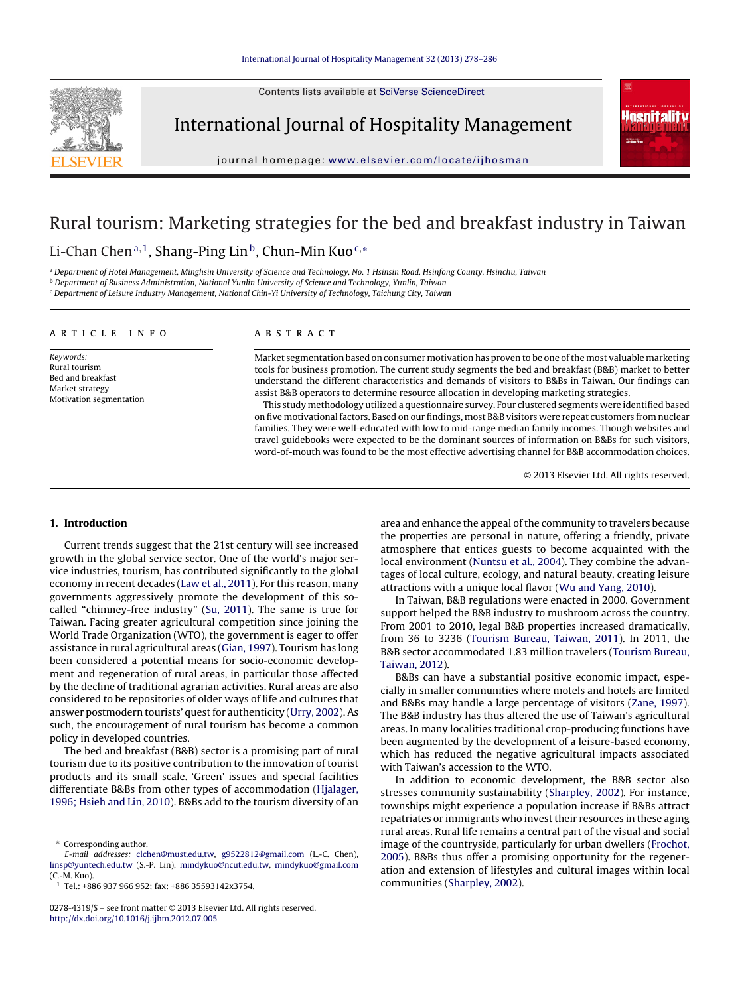Contents lists available at [SciVerse ScienceDirect](http://www.sciencedirect.com/science/journal/02784319)



International Journal of Hospitality Management



journal homepage: [www.elsevier.com/locate/ijhosman](http://www.elsevier.com/locate/ijhosman)

# Rural tourism: Marketing strategies for the bed and breakfast industry in Taiwan

# Li-Chan Chen<sup>a,1</sup>, Shang-Ping Lin<sup>b</sup>, Chun-Min Kuo<sup>c,\*</sup>

a Department of Hotel Management, Minghsin University of Science and Technology, No. 1 Hsinsin Road, Hsinfong County, Hsinchu, Taiwan

<sup>b</sup> Department of Business Administration, National Yunlin University of Science and Technology, Yunlin, Taiwan

<sup>c</sup> Department of Leisure Industry Management, National Chin-Yi University of Technology, Taichung City, Taiwan

### article info

Keywords: Rural tourism Bed and breakfast Market strategy Motivation segmentation

## **ABSTRACT**

Market segmentation based on consumer motivation has proven to be one of the most valuable marketing tools for business promotion. The current study segments the bed and breakfast (B&B) market to better understand the different characteristics and demands of visitors to B&Bs in Taiwan. Our findings can assist B&B operators to determine resource allocation in developing marketing strategies.

This study methodology utilized a questionnaire survey. Four clustered segments were identified based on five motivational factors. Based on our findings, most B&B visitors were repeat customers from nuclear families. They were well-educated with low to mid-range median family incomes. Though websites and travel guidebooks were expected to be the dominant sources of information on B&Bs for such visitors, word-of-mouth was found to be the most effective advertising channel for B&B accommodation choices.

© 2013 Elsevier Ltd. All rights reserved.

### **1. Introduction**

Current trends suggest that the 21st century will see increased growth in the global service sector. One of the world's major service industries, tourism, has contributed significantly to the global economy in recent decades ([Law et al., 2011\).](#page--1-0) For this reason, many governments aggressively promote the development of this socalled "chimney-free industry" [\(Su, 2011\).](#page--1-0) The same is true for Taiwan. Facing greater agricultural competition since joining the World Trade Organization (WTO), the government is eager to offer assistance in rural agricultural areas [\(Gian, 1997\).](#page--1-0) Tourism has long been considered a potential means for socio-economic development and regeneration of rural areas, in particular those affected by the decline of traditional agrarian activities. Rural areas are also considered to be repositories of older ways of life and cultures that answer postmodern tourists' quest for authenticity ([Urry, 2002\).](#page--1-0) As such, the encouragement of rural tourism has become a common policy in developed countries.

The bed and breakfast (B&B) sector is a promising part of rural tourism due to its positive contribution to the innovation of tourist products and its small scale. 'Green' issues and special facilities differentiate B&Bs from other types of accommodation [\(Hjalager,](#page--1-0) [1996; Hsieh and Lin, 2010\).](#page--1-0) B&Bs add to the tourism diversity of an

area and enhance the appeal of the community to travelers because the properties are personal in nature, offering a friendly, private atmosphere that entices guests to become acquainted with the local environment ([Nuntsu et al., 2004\).](#page--1-0) They combine the advantages of local culture, ecology, and natural beauty, creating leisure attractions with a unique local flavor ([Wu and Yang, 2010\).](#page--1-0)

In Taiwan, B&B regulations were enacted in 2000. Government support helped the B&B industry to mushroom across the country. From 2001 to 2010, legal B&B properties increased dramatically, from 36 to 3236 ([Tourism Bureau, Taiwan, 2011\).](#page--1-0) In 2011, the B&B sector accommodated 1.83 million travelers ([Tourism Bureau,](#page--1-0) [Taiwan, 2012\).](#page--1-0)

B&Bs can have a substantial positive economic impact, especially in smaller communities where motels and hotels are limited and B&Bs may handle a large percentage of visitors ([Zane, 1997\).](#page--1-0) The B&B industry has thus altered the use of Taiwan's agricultural areas. In many localities traditional crop-producing functions have been augmented by the development of a leisure-based economy, which has reduced the negative agricultural impacts associated with Taiwan's accession to the WTO.

In addition to economic development, the B&B sector also stresses community sustainability ([Sharpley, 2002\).](#page--1-0) For instance, townships might experience a population increase if B&Bs attract repatriates or immigrants who invest their resources in these aging rural areas. Rural life remains a central part of the visual and social image of the countryside, particularly for urban dwellers ([Frochot,](#page--1-0) [2005\).](#page--1-0) B&Bs thus offer a promising opportunity for the regeneration and extension of lifestyles and cultural images within local communities ([Sharpley, 2002\).](#page--1-0)

<sup>∗</sup> Corresponding author.

E-mail addresses: [clchen@must.edu.tw,](mailto:clchen@must.edu.tw) [g9522812@gmail.com](mailto:g9522812@gmail.com) (L.-C. Chen), [linsp@yuntech.edu.tw](mailto:linsp@yuntech.edu.tw) (S.-P. Lin), [mindykuo@ncut.edu.tw,](mailto:mindykuo@ncut.edu.tw) [mindykuo@gmail.com](mailto:mindykuo@gmail.com) (C.-M. Kuo).

 $1$  Tel.: +886 937 966 952; fax: +886 35593142x3754.

<sup>0278-4319/\$ –</sup> see front matter © 2013 Elsevier Ltd. All rights reserved. [http://dx.doi.org/10.1016/j.ijhm.2012.07.005](dx.doi.org/10.1016/j.ijhm.2012.07.005)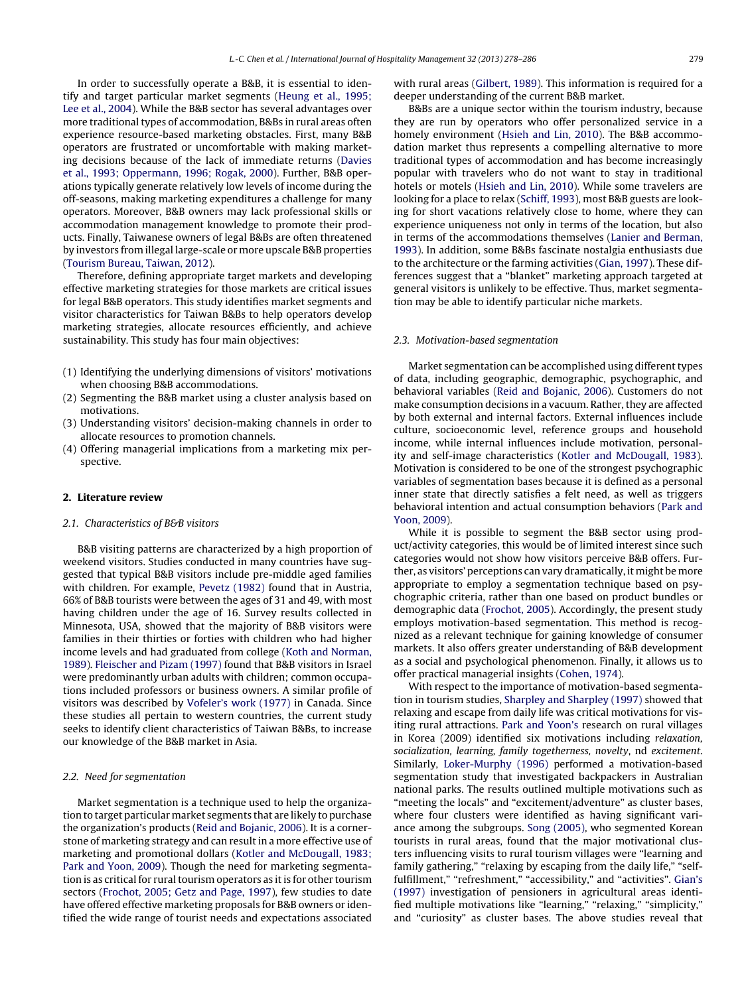In order to successfully operate a B&B, it is essential to identify and target particular market segments [\(Heung et al., 1995;](#page--1-0) [Lee et al., 2004\).](#page--1-0) While the B&B sector has several advantages over more traditional types of accommodation, B&Bs in rural areas often experience resource-based marketing obstacles. First, many B&B operators are frustrated or uncomfortable with making marketing decisions because of the lack of immediate returns [\(Davies](#page--1-0) [et al., 1993; Oppermann, 1996; Rogak, 2000\).](#page--1-0) Further, B&B operations typically generate relatively low levels of income during the off-seasons, making marketing expenditures a challenge for many operators. Moreover, B&B owners may lack professional skills or accommodation management knowledge to promote their products. Finally, Taiwanese owners of legal B&Bs are often threatened by investors from illegal large-scale or more upscale B&B properties ([Tourism Bureau, Taiwan, 2012\).](#page--1-0)

Therefore, defining appropriate target markets and developing effective marketing strategies for those markets are critical issues for legal B&B operators. This study identifies market segments and visitor characteristics for Taiwan B&Bs to help operators develop marketing strategies, allocate resources efficiently, and achieve sustainability. This study has four main objectives:

- (1) Identifying the underlying dimensions of visitors' motivations when choosing B&B accommodations.
- (2) Segmenting the B&B market using a cluster analysis based on motivations.
- (3) Understanding visitors' decision-making channels in order to allocate resources to promotion channels.
- (4) Offering managerial implications from a marketing mix perspective.

#### **2. Literature review**

#### 2.1. Characteristics of B&B visitors

B&B visiting patterns are characterized by a high proportion of weekend visitors. Studies conducted in many countries have suggested that typical B&B visitors include pre-middle aged families with children. For example, [Pevetz \(1982\)](#page--1-0) found that in Austria, 66% of B&B tourists were between the ages of 31 and 49, with most having children under the age of 16. Survey results collected in Minnesota, USA, showed that the majority of B&B visitors were families in their thirties or forties with children who had higher income levels and had graduated from college [\(Koth and Norman,](#page--1-0) [1989\).](#page--1-0) [Fleischer and Pizam \(1997\)](#page--1-0) found that B&B visitors in Israel were predominantly urban adults with children; common occupations included professors or business owners. A similar profile of visitors was described by [Vofeler's work \(1977\)](#page--1-0) in Canada. Since these studies all pertain to western countries, the current study seeks to identify client characteristics of Taiwan B&Bs, to increase our knowledge of the B&B market in Asia.

#### 2.2. Need for segmentation

Market segmentation is a technique used to help the organization to target particular market segments that are likely to purchase the organization's products [\(Reid and Bojanic, 2006\).](#page--1-0) It is a cornerstone of marketing strategy and can result in a more effective use of marketing and promotional dollars ([Kotler and McDougall, 1983;](#page--1-0) [Park and Yoon, 2009\).](#page--1-0) Though the need for marketing segmentation is as critical for rural tourism operators as it is for other tourism sectors [\(Frochot, 2005; Getz and Page, 1997\),](#page--1-0) few studies to date have offered effective marketing proposals for B&B owners or identified the wide range of tourist needs and expectations associated with rural areas ([Gilbert, 1989\).](#page--1-0) This information is required for a deeper understanding of the current B&B market.

B&Bs are a unique sector within the tourism industry, because they are run by operators who offer personalized service in a homely environment [\(Hsieh and Lin, 2010\).](#page--1-0) The B&B accommodation market thus represents a compelling alternative to more traditional types of accommodation and has become increasingly popular with travelers who do not want to stay in traditional hotels or motels [\(Hsieh and Lin, 2010\).](#page--1-0) While some travelers are looking for a place to relax [\(Schiff, 1993\),](#page--1-0) most B&B guests are looking for short vacations relatively close to home, where they can experience uniqueness not only in terms of the location, but also in terms of the accommodations themselves ([Lanier and Berman,](#page--1-0) [1993\).](#page--1-0) In addition, some B&Bs fascinate nostalgia enthusiasts due to the architecture or the farming activities [\(Gian, 1997\).](#page--1-0) These differences suggest that a "blanket" marketing approach targeted at general visitors is unlikely to be effective. Thus, market segmentation may be able to identify particular niche markets.

#### 2.3. Motivation-based segmentation

Market segmentation can be accomplished using different types of data, including geographic, demographic, psychographic, and behavioral variables [\(Reid and Bojanic, 2006\).](#page--1-0) Customers do not make consumption decisions in a vacuum. Rather, they are affected by both external and internal factors. External influences include culture, socioeconomic level, reference groups and household income, while internal influences include motivation, personality and self-image characteristics ([Kotler and McDougall, 1983\).](#page--1-0) Motivation is considered to be one of the strongest psychographic variables of segmentation bases because it is defined as a personal inner state that directly satisfies a felt need, as well as triggers behavioral intention and actual consumption behaviors [\(Park and](#page--1-0) [Yoon, 2009\).](#page--1-0)

While it is possible to segment the B&B sector using product/activity categories, this would be of limited interest since such categories would not show how visitors perceive B&B offers. Further, as visitors' perceptions can vary dramatically, it might be more appropriate to employ a segmentation technique based on psychographic criteria, rather than one based on product bundles or demographic data ([Frochot, 2005\).](#page--1-0) Accordingly, the present study employs motivation-based segmentation. This method is recognized as a relevant technique for gaining knowledge of consumer markets. It also offers greater understanding of B&B development as a social and psychological phenomenon. Finally, it allows us to offer practical managerial insights [\(Cohen, 1974\).](#page--1-0)

With respect to the importance of motivation-based segmentation in tourism studies, [Sharpley and Sharpley \(1997\)](#page--1-0) showed that relaxing and escape from daily life was critical motivations for visiting rural attractions. [Park and Yoon's](#page--1-0) research on rural villages in Korea (2009) identified six motivations including relaxation, socialization, learning, family togetherness, novelty, nd excitement. Similarly, [Loker-Murphy \(1996\)](#page--1-0) performed a motivation-based segmentation study that investigated backpackers in Australian national parks. The results outlined multiple motivations such as "meeting the locals" and "excitement/adventure" as cluster bases, where four clusters were identified as having significant variance among the subgroups. [Song \(2005\), w](#page--1-0)ho segmented Korean tourists in rural areas, found that the major motivational clusters influencing visits to rural tourism villages were "learning and family gathering," "relaxing by escaping from the daily life," "selffulfillment," "refreshment," "accessibility," and "activities". [Gian's](#page--1-0) [\(1997\)](#page--1-0) investigation of pensioners in agricultural areas identified multiple motivations like "learning," "relaxing," "simplicity," and "curiosity" as cluster bases. The above studies reveal that